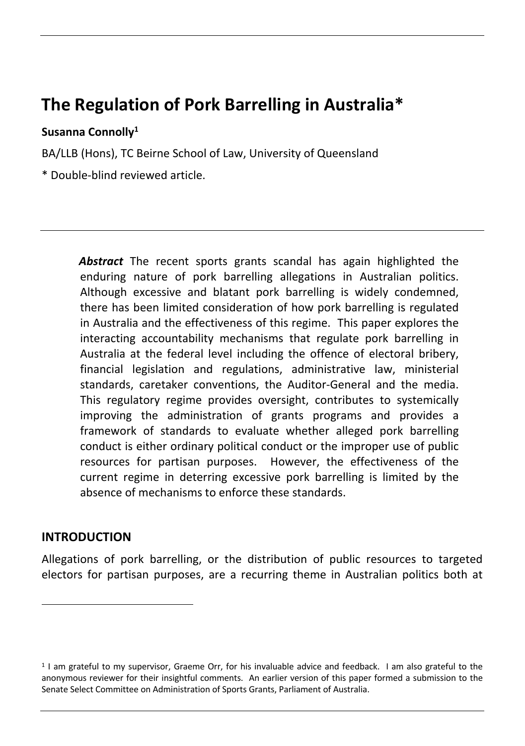# **The Regulation of Pork Barrelling in Australia\***

### **Susanna Connolly1**

BA/LLB (Hons), TC Beirne School of Law, University of Queensland

\* Double-blind reviewed article.

*Abstract* The recent sports grants scandal has again highlighted the enduring nature of pork barrelling allegations in Australian politics. Although excessive and blatant pork barrelling is widely condemned, there has been limited consideration of how pork barrelling is regulated in Australia and the effectiveness of this regime. This paper explores the interacting accountability mechanisms that regulate pork barrelling in Australia at the federal level including the offence of electoral bribery, financial legislation and regulations, administrative law, ministerial standards, caretaker conventions, the Auditor-General and the media. This regulatory regime provides oversight, contributes to systemically improving the administration of grants programs and provides a framework of standards to evaluate whether alleged pork barrelling conduct is either ordinary political conduct or the improper use of public resources for partisan purposes. However, the effectiveness of the current regime in deterring excessive pork barrelling is limited by the absence of mechanisms to enforce these standards.

### **INTRODUCTION**

Allegations of pork barrelling, or the distribution of public resources to targeted electors for partisan purposes, are a recurring theme in Australian politics both at

<sup>1</sup> I am grateful to my supervisor, Graeme Orr, for his invaluable advice and feedback. I am also grateful to the anonymous reviewer for their insightful comments. An earlier version of this paper formed a submission to the Senate Select Committee on Administration of Sports Grants, Parliament of Australia.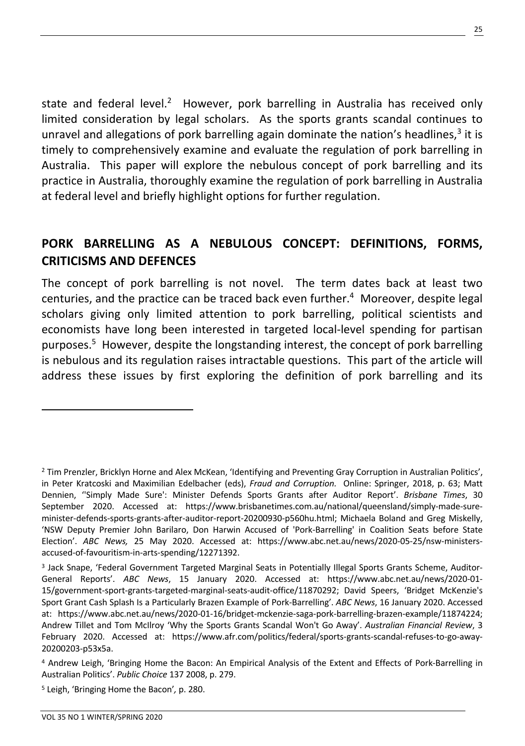state and federal level.<sup>2</sup> However, pork barrelling in Australia has received only limited consideration by legal scholars. As the sports grants scandal continues to unravel and allegations of pork barrelling again dominate the nation's headlines, $3$  it is timely to comprehensively examine and evaluate the regulation of pork barrelling in Australia. This paper will explore the nebulous concept of pork barrelling and its practice in Australia, thoroughly examine the regulation of pork barrelling in Australia at federal level and briefly highlight options for further regulation.

# **PORK BARRELLING AS A NEBULOUS CONCEPT: DEFINITIONS, FORMS, CRITICISMS AND DEFENCES**

The concept of pork barrelling is not novel. The term dates back at least two centuries, and the practice can be traced back even further.<sup>4</sup> Moreover, despite legal scholars giving only limited attention to pork barrelling, political scientists and economists have long been interested in targeted local-level spending for partisan purposes.5 However, despite the longstanding interest, the concept of pork barrelling is nebulous and its regulation raises intractable questions. This part of the article will address these issues by first exploring the definition of pork barrelling and its

25

<sup>2</sup> Tim Prenzler, Bricklyn Horne and Alex McKean, 'Identifying and Preventing Gray Corruption in Australian Politics', in Peter Kratcoski and Maximilian Edelbacher (eds), *Fraud and Corruption.* Online: Springer, 2018, p. 63; Matt Dennien, ''Simply Made Sure': Minister Defends Sports Grants after Auditor Report'. *Brisbane Times*, 30 September 2020. Accessed at: https://www.brisbanetimes.com.au/national/queensland/simply-made-sureminister-defends-sports-grants-after-auditor-report-20200930-p560hu.html; Michaela Boland and Greg Miskelly, 'NSW Deputy Premier John Barilaro, Don Harwin Accused of 'Pork-Barrelling' in Coalition Seats before State Election'. *ABC News,* 25 May 2020. Accessed at: https://www.abc.net.au/news/2020-05-25/nsw-ministersaccused-of-favouritism-in-arts-spending/12271392.

<sup>3</sup> Jack Snape, 'Federal Government Targeted Marginal Seats in Potentially Illegal Sports Grants Scheme, Auditor-General Reports'. *ABC News*, 15 January 2020. Accessed at: https://www.abc.net.au/news/2020-01- 15/government-sport-grants-targeted-marginal-seats-audit-office/11870292; David Speers, 'Bridget McKenzie's Sport Grant Cash Splash Is a Particularly Brazen Example of Pork-Barrelling'. *ABC News*, 16 January 2020. Accessed at: https://www.abc.net.au/news/2020-01-16/bridget-mckenzie-saga-pork-barrelling-brazen-example/11874224; Andrew Tillet and Tom McIlroy 'Why the Sports Grants Scandal Won't Go Away'. *Australian Financial Review*, 3 February 2020. Accessed at: https://www.afr.com/politics/federal/sports-grants-scandal-refuses-to-go-away-20200203-p53x5a.

<sup>4</sup> Andrew Leigh, 'Bringing Home the Bacon: An Empirical Analysis of the Extent and Effects of Pork-Barrelling in Australian Politics'. *Public Choice* 137 2008, p. 279.

<sup>5</sup> Leigh, 'Bringing Home the Bacon'*,* p. 280.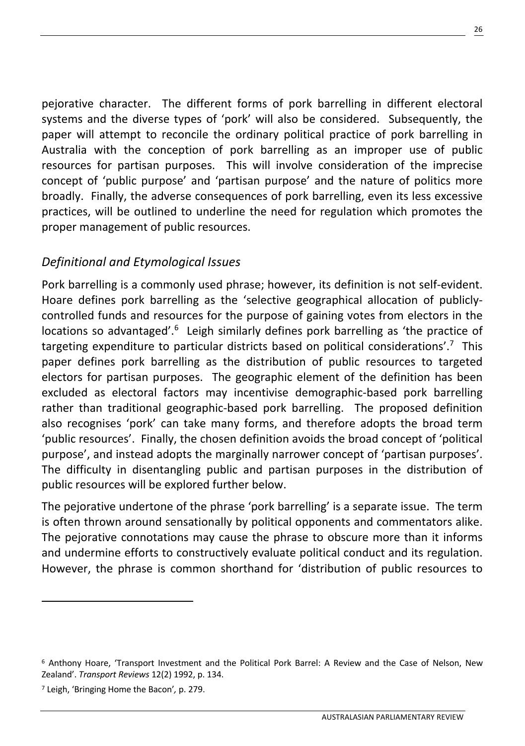pejorative character. The different forms of pork barrelling in different electoral systems and the diverse types of 'pork' will also be considered. Subsequently, the paper will attempt to reconcile the ordinary political practice of pork barrelling in Australia with the conception of pork barrelling as an improper use of public resources for partisan purposes. This will involve consideration of the imprecise concept of 'public purpose' and 'partisan purpose' and the nature of politics more broadly. Finally, the adverse consequences of pork barrelling, even its less excessive practices, will be outlined to underline the need for regulation which promotes the proper management of public resources.

# *Definitional and Etymological Issues*

Pork barrelling is a commonly used phrase; however, its definition is not self-evident. Hoare defines pork barrelling as the 'selective geographical allocation of publiclycontrolled funds and resources for the purpose of gaining votes from electors in the locations so advantaged'.<sup>6</sup> Leigh similarly defines pork barrelling as 'the practice of targeting expenditure to particular districts based on political considerations'.<sup>7</sup> This paper defines pork barrelling as the distribution of public resources to targeted electors for partisan purposes. The geographic element of the definition has been excluded as electoral factors may incentivise demographic-based pork barrelling rather than traditional geographic-based pork barrelling. The proposed definition also recognises 'pork' can take many forms, and therefore adopts the broad term 'public resources'. Finally, the chosen definition avoids the broad concept of 'political purpose', and instead adopts the marginally narrower concept of 'partisan purposes'. The difficulty in disentangling public and partisan purposes in the distribution of public resources will be explored further below.

The pejorative undertone of the phrase 'pork barrelling' is a separate issue. The term is often thrown around sensationally by political opponents and commentators alike. The pejorative connotations may cause the phrase to obscure more than it informs and undermine efforts to constructively evaluate political conduct and its regulation. However, the phrase is common shorthand for 'distribution of public resources to

<sup>6</sup> Anthony Hoare, 'Transport Investment and the Political Pork Barrel: A Review and the Case of Nelson, New Zealand'. *Transport Reviews* 12(2) 1992, p. 134.

<sup>7</sup> Leigh, 'Bringing Home the Bacon'*,* p. 279.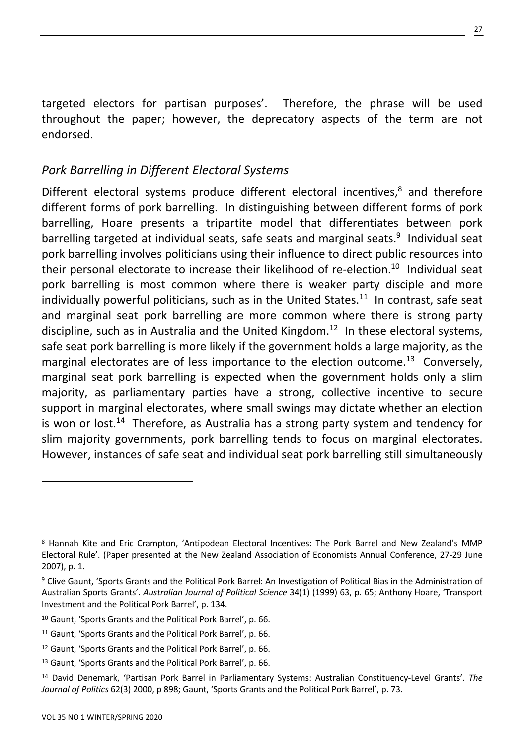targeted electors for partisan purposes'. Therefore, the phrase will be used throughout the paper; however, the deprecatory aspects of the term are not endorsed.

# *Pork Barrelling in Different Electoral Systems*

Different electoral systems produce different electoral incentives, $8$  and therefore different forms of pork barrelling. In distinguishing between different forms of pork barrelling, Hoare presents a tripartite model that differentiates between pork barrelling targeted at individual seats, safe seats and marginal seats. $9$  Individual seat pork barrelling involves politicians using their influence to direct public resources into their personal electorate to increase their likelihood of re-election.<sup>10</sup> Individual seat pork barrelling is most common where there is weaker party disciple and more individually powerful politicians, such as in the United States. $11$  In contrast, safe seat and marginal seat pork barrelling are more common where there is strong party discipline, such as in Australia and the United Kingdom.<sup>12</sup> In these electoral systems, safe seat pork barrelling is more likely if the government holds a large majority, as the marginal electorates are of less importance to the election outcome.<sup>13</sup> Conversely, marginal seat pork barrelling is expected when the government holds only a slim majority, as parliamentary parties have a strong, collective incentive to secure support in marginal electorates, where small swings may dictate whether an election is won or lost.<sup>14</sup> Therefore, as Australia has a strong party system and tendency for slim majority governments, pork barrelling tends to focus on marginal electorates. However, instances of safe seat and individual seat pork barrelling still simultaneously

<sup>8</sup> Hannah Kite and Eric Crampton, 'Antipodean Electoral Incentives: The Pork Barrel and New Zealand's MMP Electoral Rule'. (Paper presented at the New Zealand Association of Economists Annual Conference, 27-29 June 2007), p. 1.

<sup>9</sup> Clive Gaunt, 'Sports Grants and the Political Pork Barrel: An Investigation of Political Bias in the Administration of Australian Sports Grants'. *Australian Journal of Political Science* 34(1) (1999) 63, p. 65; Anthony Hoare, 'Transport Investment and the Political Pork Barrel', p. 134.

<sup>10</sup> Gaunt, 'Sports Grants and the Political Pork Barrel', p. 66.

<sup>11</sup> Gaunt, 'Sports Grants and the Political Pork Barrel', p. 66.

<sup>12</sup> Gaunt, 'Sports Grants and the Political Pork Barrel', p. 66.

<sup>13</sup> Gaunt, 'Sports Grants and the Political Pork Barrel', p. 66.

<sup>14</sup> David Denemark, 'Partisan Pork Barrel in Parliamentary Systems: Australian Constituency-Level Grants'. *The Journal of Politics* 62(3) 2000, p 898; Gaunt, 'Sports Grants and the Political Pork Barrel', p. 73.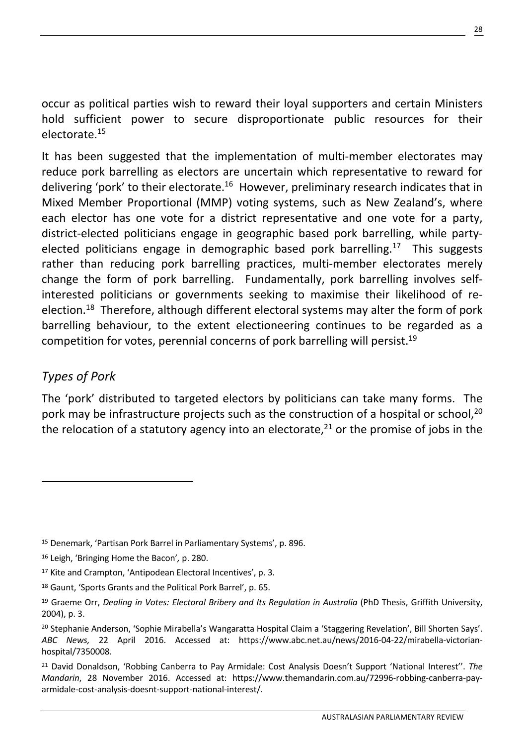occur as political parties wish to reward their loyal supporters and certain Ministers hold sufficient power to secure disproportionate public resources for their electorate.15

It has been suggested that the implementation of multi-member electorates may reduce pork barrelling as electors are uncertain which representative to reward for delivering 'pork' to their electorate.<sup>16</sup> However, preliminary research indicates that in Mixed Member Proportional (MMP) voting systems, such as New Zealand's, where each elector has one vote for a district representative and one vote for a party, district-elected politicians engage in geographic based pork barrelling, while partyelected politicians engage in demographic based pork barrelling.<sup>17</sup> This suggests rather than reducing pork barrelling practices, multi-member electorates merely change the form of pork barrelling. Fundamentally, pork barrelling involves selfinterested politicians or governments seeking to maximise their likelihood of reelection.<sup>18</sup> Therefore, although different electoral systems may alter the form of pork barrelling behaviour, to the extent electioneering continues to be regarded as a competition for votes, perennial concerns of pork barrelling will persist.<sup>19</sup>

# *Types of Pork*

The 'pork' distributed to targeted electors by politicians can take many forms. The pork may be infrastructure projects such as the construction of a hospital or school,  $^{20}$ the relocation of a statutory agency into an electorate,  $21$  or the promise of jobs in the

<sup>15</sup> Denemark, 'Partisan Pork Barrel in Parliamentary Systems', p. 896.

<sup>16</sup> Leigh, 'Bringing Home the Bacon'*,* p. 280.

<sup>&</sup>lt;sup>17</sup> Kite and Crampton, 'Antipodean Electoral Incentives', p. 3.

<sup>18</sup> Gaunt, 'Sports Grants and the Political Pork Barrel', p. 65.

<sup>&</sup>lt;sup>19</sup> Graeme Orr, *Dealing in Votes: Electoral Bribery and Its Regulation in Australia (PhD Thesis, Griffith University,* 2004), p. 3.

<sup>20</sup> Stephanie Anderson, 'Sophie Mirabella's Wangaratta Hospital Claim a 'Staggering Revelation', Bill Shorten Says'. *ABC News,* 22 April 2016. Accessed at: https://www.abc.net.au/news/2016-04-22/mirabella-victorianhospital/7350008.

<sup>21</sup> David Donaldson, 'Robbing Canberra to Pay Armidale: Cost Analysis Doesn't Support 'National Interest''. *The Mandarin*, 28 November 2016. Accessed at: https://www.themandarin.com.au/72996-robbing-canberra-payarmidale-cost-analysis-doesnt-support-national-interest/.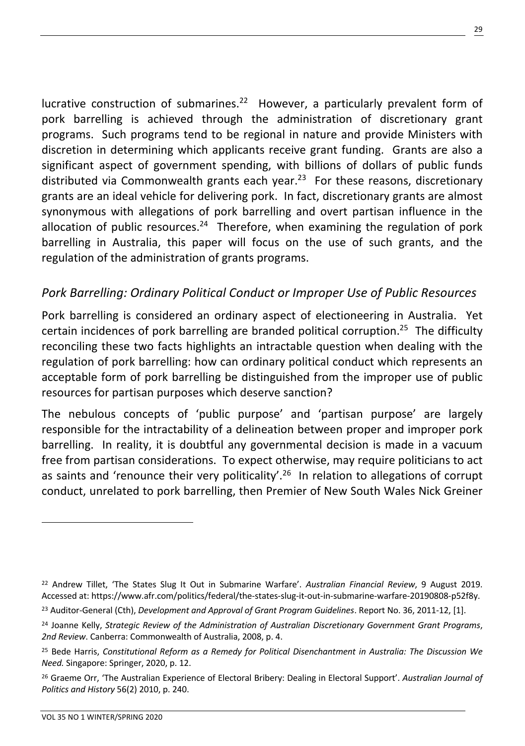lucrative construction of submarines.<sup>22</sup> However, a particularly prevalent form of pork barrelling is achieved through the administration of discretionary grant programs. Such programs tend to be regional in nature and provide Ministers with discretion in determining which applicants receive grant funding. Grants are also a significant aspect of government spending, with billions of dollars of public funds distributed via Commonwealth grants each year.<sup>23</sup> For these reasons, discretionary grants are an ideal vehicle for delivering pork. In fact, discretionary grants are almost synonymous with allegations of pork barrelling and overt partisan influence in the allocation of public resources.<sup>24</sup> Therefore, when examining the regulation of pork barrelling in Australia, this paper will focus on the use of such grants, and the regulation of the administration of grants programs.

### *Pork Barrelling: Ordinary Political Conduct or Improper Use of Public Resources*

Pork barrelling is considered an ordinary aspect of electioneering in Australia. Yet certain incidences of pork barrelling are branded political corruption.<sup>25</sup> The difficulty reconciling these two facts highlights an intractable question when dealing with the regulation of pork barrelling: how can ordinary political conduct which represents an acceptable form of pork barrelling be distinguished from the improper use of public resources for partisan purposes which deserve sanction?

The nebulous concepts of 'public purpose' and 'partisan purpose' are largely responsible for the intractability of a delineation between proper and improper pork barrelling. In reality, it is doubtful any governmental decision is made in a vacuum free from partisan considerations. To expect otherwise, may require politicians to act as saints and 'renounce their very politicality'.<sup>26</sup> In relation to allegations of corrupt conduct, unrelated to pork barrelling, then Premier of New South Wales Nick Greiner

<sup>22</sup> Andrew Tillet, 'The States Slug It Out in Submarine Warfare'. *Australian Financial Review*, 9 August 2019. Accessed at: https://www.afr.com/politics/federal/the-states-slug-it-out-in-submarine-warfare-20190808-p52f8y.

<sup>23</sup> Auditor-General (Cth), *Development and Approval of Grant Program Guidelines*. Report No. 36, 2011-12, [1].

<sup>24</sup> Joanne Kelly, *Strategic Review of the Administration of Australian Discretionary Government Grant Programs*, *2nd Review*. Canberra: Commonwealth of Australia, 2008, p. 4.

<sup>25</sup> Bede Harris, *Constitutional Reform as a Remedy for Political Disenchantment in Australia: The Discussion We Need.* Singapore: Springer, 2020, p. 12.

<sup>26</sup> Graeme Orr, 'The Australian Experience of Electoral Bribery: Dealing in Electoral Support'. *Australian Journal of Politics and History* 56(2) 2010, p. 240.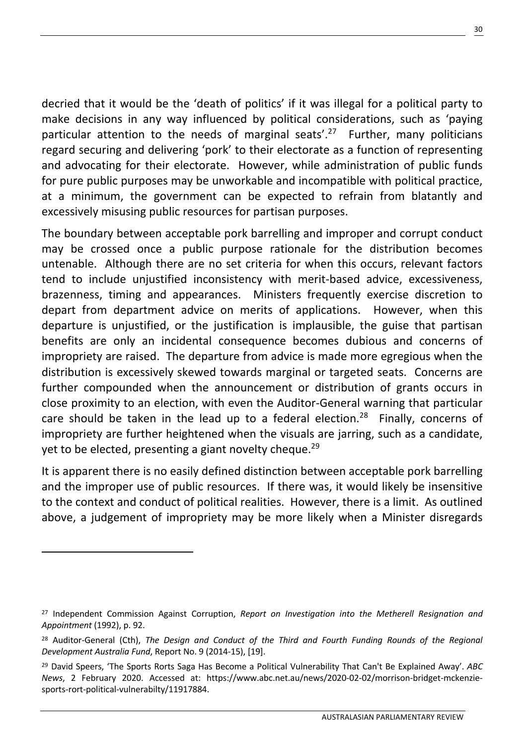decried that it would be the 'death of politics' if it was illegal for a political party to make decisions in any way influenced by political considerations, such as 'paying particular attention to the needs of marginal seats'.<sup>27</sup> Further, many politicians regard securing and delivering 'pork' to their electorate as a function of representing and advocating for their electorate. However, while administration of public funds for pure public purposes may be unworkable and incompatible with political practice, at a minimum, the government can be expected to refrain from blatantly and excessively misusing public resources for partisan purposes.

The boundary between acceptable pork barrelling and improper and corrupt conduct may be crossed once a public purpose rationale for the distribution becomes untenable. Although there are no set criteria for when this occurs, relevant factors tend to include unjustified inconsistency with merit-based advice, excessiveness, brazenness, timing and appearances. Ministers frequently exercise discretion to depart from department advice on merits of applications. However, when this departure is unjustified, or the justification is implausible, the guise that partisan benefits are only an incidental consequence becomes dubious and concerns of impropriety are raised. The departure from advice is made more egregious when the distribution is excessively skewed towards marginal or targeted seats. Concerns are further compounded when the announcement or distribution of grants occurs in close proximity to an election, with even the Auditor-General warning that particular care should be taken in the lead up to a federal election.<sup>28</sup> Finally, concerns of impropriety are further heightened when the visuals are jarring, such as a candidate, yet to be elected, presenting a giant novelty cheque.<sup>29</sup>

It is apparent there is no easily defined distinction between acceptable pork barrelling and the improper use of public resources. If there was, it would likely be insensitive to the context and conduct of political realities. However, there is a limit. As outlined above, a judgement of impropriety may be more likely when a Minister disregards

<sup>27</sup> Independent Commission Against Corruption, *Report on Investigation into the Metherell Resignation and Appointment* (1992), p. 92.

<sup>&</sup>lt;sup>28</sup> Auditor-General (Cth), *The Design and Conduct of the Third and Fourth Funding Rounds of the Regional Development Australia Fund*, Report No. 9 (2014-15), [19].

<sup>29</sup> David Speers, 'The Sports Rorts Saga Has Become a Political Vulnerability That Can't Be Explained Away'. *ABC News*, 2 February 2020. Accessed at: https://www.abc.net.au/news/2020-02-02/morrison-bridget-mckenziesports-rort-political-vulnerabilty/11917884.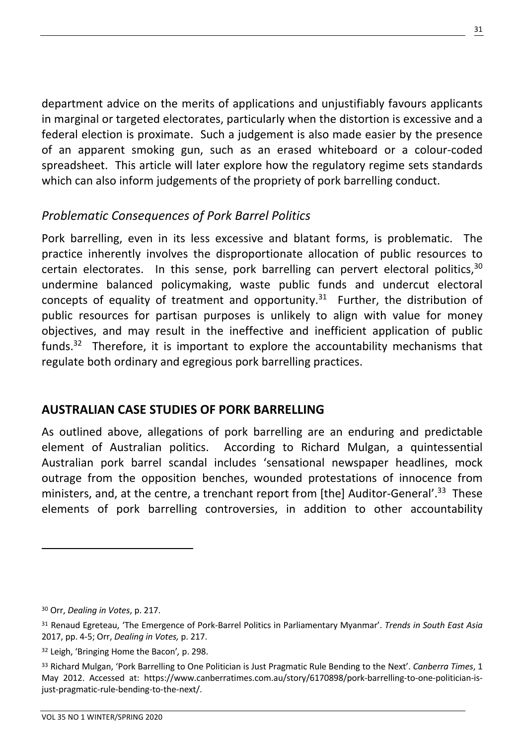department advice on the merits of applications and unjustifiably favours applicants in marginal or targeted electorates, particularly when the distortion is excessive and a federal election is proximate. Such a judgement is also made easier by the presence of an apparent smoking gun, such as an erased whiteboard or a colour-coded spreadsheet. This article will later explore how the regulatory regime sets standards which can also inform judgements of the propriety of pork barrelling conduct.

# *Problematic Consequences of Pork Barrel Politics*

Pork barrelling, even in its less excessive and blatant forms, is problematic. The practice inherently involves the disproportionate allocation of public resources to certain electorates. In this sense, pork barrelling can pervert electoral politics,  $30$ undermine balanced policymaking, waste public funds and undercut electoral concepts of equality of treatment and opportunity.<sup>31</sup> Further, the distribution of public resources for partisan purposes is unlikely to align with value for money objectives, and may result in the ineffective and inefficient application of public funds.<sup>32</sup> Therefore, it is important to explore the accountability mechanisms that regulate both ordinary and egregious pork barrelling practices.

# **AUSTRALIAN CASE STUDIES OF PORK BARRELLING**

As outlined above, allegations of pork barrelling are an enduring and predictable element of Australian politics. According to Richard Mulgan, a quintessential Australian pork barrel scandal includes 'sensational newspaper headlines, mock outrage from the opposition benches, wounded protestations of innocence from ministers, and, at the centre, a trenchant report from [the] Auditor-General'.<sup>33</sup> These elements of pork barrelling controversies, in addition to other accountability

<sup>30</sup> Orr, *Dealing in Votes*, p. 217.

<sup>31</sup> Renaud Egreteau, 'The Emergence of Pork-Barrel Politics in Parliamentary Myanmar'. *Trends in South East Asia* 2017, pp. 4-5; Orr, *Dealing in Votes,* p. 217.

<sup>32</sup> Leigh, 'Bringing Home the Bacon'*,* p. 298.

<sup>33</sup> Richard Mulgan, 'Pork Barrelling to One Politician is Just Pragmatic Rule Bending to the Next'. *Canberra Times*, 1 May 2012. Accessed at: https://www.canberratimes.com.au/story/6170898/pork-barrelling-to-one-politician-isjust-pragmatic-rule-bending-to-the-next/.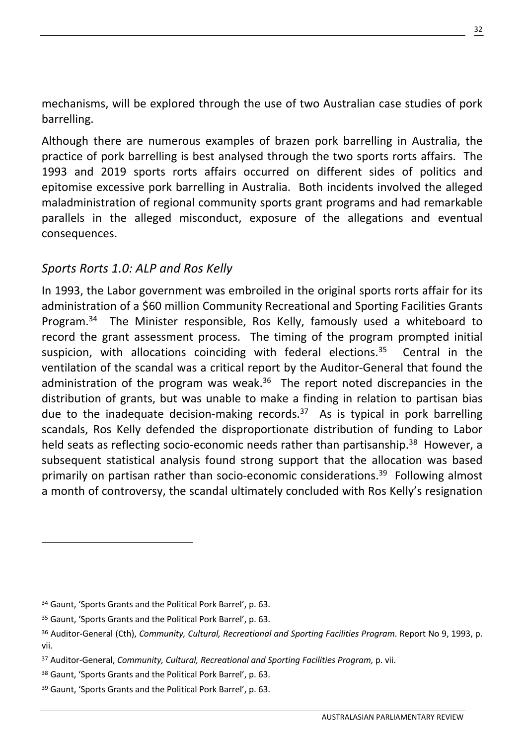mechanisms, will be explored through the use of two Australian case studies of pork barrelling.

Although there are numerous examples of brazen pork barrelling in Australia, the practice of pork barrelling is best analysed through the two sports rorts affairs. The 1993 and 2019 sports rorts affairs occurred on different sides of politics and epitomise excessive pork barrelling in Australia. Both incidents involved the alleged maladministration of regional community sports grant programs and had remarkable parallels in the alleged misconduct, exposure of the allegations and eventual consequences.

# *Sports Rorts 1.0: ALP and Ros Kelly*

In 1993, the Labor government was embroiled in the original sports rorts affair for its administration of a \$60 million Community Recreational and Sporting Facilities Grants Program.<sup>34</sup> The Minister responsible, Ros Kelly, famously used a whiteboard to record the grant assessment process. The timing of the program prompted initial suspicion, with allocations coinciding with federal elections.<sup>35</sup> Central in the ventilation of the scandal was a critical report by the Auditor-General that found the administration of the program was weak.<sup>36</sup> The report noted discrepancies in the distribution of grants, but was unable to make a finding in relation to partisan bias due to the inadequate decision-making records. $37$  As is typical in pork barrelling scandals, Ros Kelly defended the disproportionate distribution of funding to Labor held seats as reflecting socio-economic needs rather than partisanship.<sup>38</sup> However, a subsequent statistical analysis found strong support that the allocation was based primarily on partisan rather than socio-economic considerations.<sup>39</sup> Following almost a month of controversy, the scandal ultimately concluded with Ros Kelly's resignation

<sup>34</sup> Gaunt, 'Sports Grants and the Political Pork Barrel', p. 63.

<sup>35</sup> Gaunt, 'Sports Grants and the Political Pork Barrel', p. 63.

<sup>36</sup> Auditor-General (Cth), *Community, Cultural, Recreational and Sporting Facilities Program*. Report No 9, 1993, p. vii.

<sup>37</sup> Auditor-General, *Community, Cultural, Recreational and Sporting Facilities Program,* p. vii.

<sup>38</sup> Gaunt, 'Sports Grants and the Political Pork Barrel', p. 63.

<sup>39</sup> Gaunt, 'Sports Grants and the Political Pork Barrel', p. 63.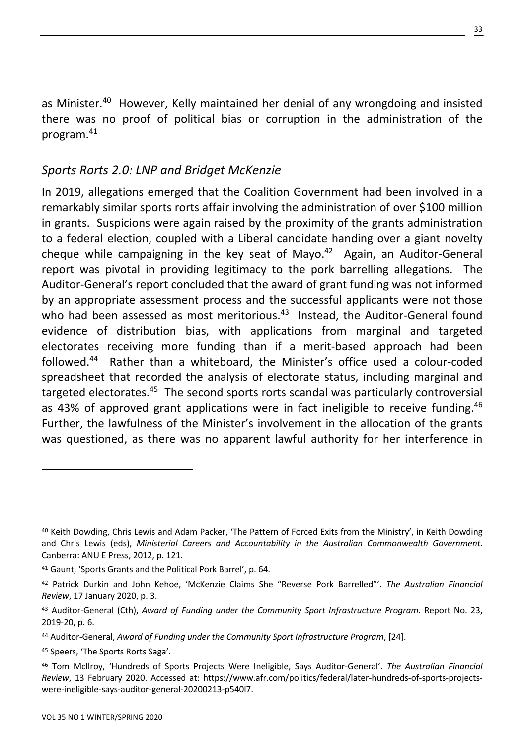as Minister. <sup>40</sup> However, Kelly maintained her denial of any wrongdoing and insisted there was no proof of political bias or corruption in the administration of the program.41

# *Sports Rorts 2.0: LNP and Bridget McKenzie*

In 2019, allegations emerged that the Coalition Government had been involved in a remarkably similar sports rorts affair involving the administration of over \$100 million in grants. Suspicions were again raised by the proximity of the grants administration to a federal election, coupled with a Liberal candidate handing over a giant novelty cheque while campaigning in the key seat of Mayo. $42$  Again, an Auditor-General report was pivotal in providing legitimacy to the pork barrelling allegations. The Auditor-General's report concluded that the award of grant funding was not informed by an appropriate assessment process and the successful applicants were not those who had been assessed as most meritorious.<sup>43</sup> Instead, the Auditor-General found evidence of distribution bias, with applications from marginal and targeted electorates receiving more funding than if a merit-based approach had been followed.44 Rather than a whiteboard, the Minister's office used a colour-coded spreadsheet that recorded the analysis of electorate status, including marginal and targeted electorates.<sup>45</sup> The second sports rorts scandal was particularly controversial as 43% of approved grant applications were in fact ineligible to receive funding.<sup>46</sup> Further, the lawfulness of the Minister's involvement in the allocation of the grants was questioned, as there was no apparent lawful authority for her interference in

<sup>40</sup> Keith Dowding, Chris Lewis and Adam Packer, 'The Pattern of Forced Exits from the Ministry', in Keith Dowding and Chris Lewis (eds), *Ministerial Careers and Accountability in the Australian Commonwealth Government.* Canberra: ANU E Press, 2012, p. 121.

<sup>41</sup> Gaunt, 'Sports Grants and the Political Pork Barrel', p. 64.

<sup>42</sup> Patrick Durkin and John Kehoe, 'McKenzie Claims She "Reverse Pork Barrelled"'. *The Australian Financial Review*, 17 January 2020, p. 3.

<sup>43</sup> Auditor-General (Cth), *Award of Funding under the Community Sport Infrastructure Program*. Report No. 23, 2019-20, p. 6.

<sup>44</sup> Auditor-General, *Award of Funding under the Community Sport Infrastructure Program*, [24].

<sup>45</sup> Speers, 'The Sports Rorts Saga'.

<sup>46</sup> Tom McIlroy, 'Hundreds of Sports Projects Were Ineligible, Says Auditor-General'. *The Australian Financial Review*, 13 February 2020. Accessed at: https://www.afr.com/politics/federal/later-hundreds-of-sports-projectswere-ineligible-says-auditor-general-20200213-p540l7.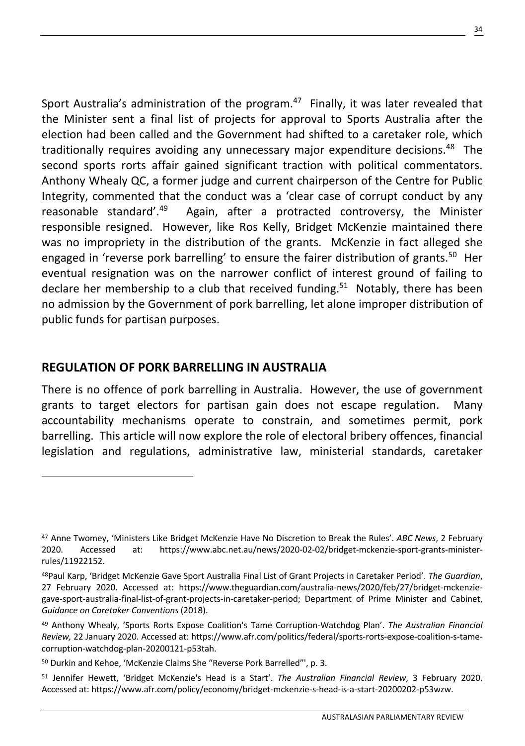Sport Australia's administration of the program. $47$  Finally, it was later revealed that the Minister sent a final list of projects for approval to Sports Australia after the election had been called and the Government had shifted to a caretaker role, which traditionally requires avoiding any unnecessary major expenditure decisions.<sup>48</sup> The second sports rorts affair gained significant traction with political commentators. Anthony Whealy QC, a former judge and current chairperson of the Centre for Public Integrity, commented that the conduct was a 'clear case of corrupt conduct by any reasonable standard'.<sup>49</sup> Again, after a protracted controversy, the Minister responsible resigned. However, like Ros Kelly, Bridget McKenzie maintained there was no impropriety in the distribution of the grants. McKenzie in fact alleged she engaged in 'reverse pork barrelling' to ensure the fairer distribution of grants.<sup>50</sup> Her eventual resignation was on the narrower conflict of interest ground of failing to declare her membership to a club that received funding.<sup>51</sup> Notably, there has been no admission by the Government of pork barrelling, let alone improper distribution of public funds for partisan purposes.

### **REGULATION OF PORK BARRELLING IN AUSTRALIA**

There is no offence of pork barrelling in Australia. However, the use of government grants to target electors for partisan gain does not escape regulation. Many accountability mechanisms operate to constrain, and sometimes permit, pork barrelling. This article will now explore the role of electoral bribery offences, financial legislation and regulations, administrative law, ministerial standards, caretaker

<sup>47</sup> Anne Twomey, 'Ministers Like Bridget McKenzie Have No Discretion to Break the Rules'. *ABC News*, 2 February 2020. Accessed at: https://www.abc.net.au/news/2020-02-02/bridget-mckenzie-sport-grants-ministerrules/11922152.

<sup>48</sup>Paul Karp, 'Bridget McKenzie Gave Sport Australia Final List of Grant Projects in Caretaker Period'. *The Guardian*, 27 February 2020. Accessed at: https://www.theguardian.com/australia-news/2020/feb/27/bridget-mckenziegave-sport-australia-final-list-of-grant-projects-in-caretaker-period; Department of Prime Minister and Cabinet, *Guidance on Caretaker Conventions* (2018).

<sup>49</sup> Anthony Whealy, 'Sports Rorts Expose Coalition's Tame Corruption-Watchdog Plan'. *The Australian Financial Review,* 22 January 2020. Accessed at: https://www.afr.com/politics/federal/sports-rorts-expose-coalition-s-tamecorruption-watchdog-plan-20200121-p53tah.

<sup>50</sup> Durkin and Kehoe, 'McKenzie Claims She "Reverse Pork Barrelled"', p. 3.

<sup>51</sup> Jennifer Hewett, 'Bridget McKenzie's Head is a Start'. *The Australian Financial Review*, 3 February 2020. Accessed at: https://www.afr.com/policy/economy/bridget-mckenzie-s-head-is-a-start-20200202-p53wzw.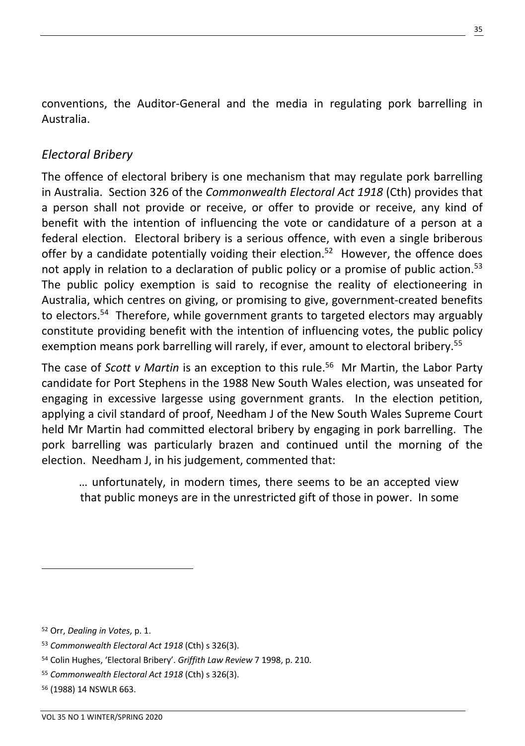conventions, the Auditor-General and the media in regulating pork barrelling in Australia.

# *Electoral Bribery*

The offence of electoral bribery is one mechanism that may regulate pork barrelling in Australia. Section 326 of the *Commonwealth Electoral Act 1918* (Cth) provides that a person shall not provide or receive, or offer to provide or receive, any kind of benefit with the intention of influencing the vote or candidature of a person at a federal election. Electoral bribery is a serious offence, with even a single briberous offer by a candidate potentially voiding their election.<sup>52</sup> However, the offence does not apply in relation to a declaration of public policy or a promise of public action.<sup>53</sup> The public policy exemption is said to recognise the reality of electioneering in Australia, which centres on giving, or promising to give, government-created benefits to electors.<sup>54</sup> Therefore, while government grants to targeted electors may arguably constitute providing benefit with the intention of influencing votes, the public policy exemption means pork barrelling will rarely, if ever, amount to electoral bribery.<sup>55</sup>

The case of *Scott v Martin* is an exception to this rule.56 Mr Martin, the Labor Party candidate for Port Stephens in the 1988 New South Wales election, was unseated for engaging in excessive largesse using government grants. In the election petition, applying a civil standard of proof, Needham J of the New South Wales Supreme Court held Mr Martin had committed electoral bribery by engaging in pork barrelling. The pork barrelling was particularly brazen and continued until the morning of the election. Needham J, in his judgement, commented that:

… unfortunately, in modern times, there seems to be an accepted view that public moneys are in the unrestricted gift of those in power. In some

<sup>52</sup> Orr, *Dealing in Votes*, p. 1.

<sup>53</sup> *Commonwealth Electoral Act 1918* (Cth) s 326(3).

<sup>54</sup> Colin Hughes, 'Electoral Bribery'. *Griffith Law Review* 7 1998, p. 210.

<sup>55</sup> *Commonwealth Electoral Act 1918* (Cth) s 326(3).

<sup>56</sup> (1988) 14 NSWLR 663.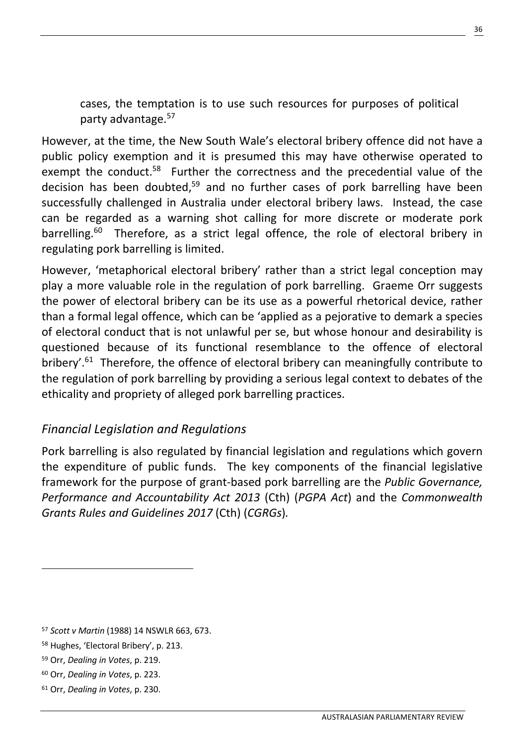cases, the temptation is to use such resources for purposes of political party advantage.57

However, at the time, the New South Wale's electoral bribery offence did not have a public policy exemption and it is presumed this may have otherwise operated to exempt the conduct.<sup>58</sup> Further the correctness and the precedential value of the decision has been doubted,<sup>59</sup> and no further cases of pork barrelling have been successfully challenged in Australia under electoral bribery laws. Instead, the case can be regarded as a warning shot calling for more discrete or moderate pork barrelling.<sup>60</sup> Therefore, as a strict legal offence, the role of electoral bribery in regulating pork barrelling is limited.

However, 'metaphorical electoral bribery' rather than a strict legal conception may play a more valuable role in the regulation of pork barrelling. Graeme Orr suggests the power of electoral bribery can be its use as a powerful rhetorical device, rather than a formal legal offence, which can be 'applied as a pejorative to demark a species of electoral conduct that is not unlawful per se, but whose honour and desirability is questioned because of its functional resemblance to the offence of electoral bribery'.<sup>61</sup> Therefore, the offence of electoral bribery can meaningfully contribute to the regulation of pork barrelling by providing a serious legal context to debates of the ethicality and propriety of alleged pork barrelling practices.

### *Financial Legislation and Regulations*

Pork barrelling is also regulated by financial legislation and regulations which govern the expenditure of public funds. The key components of the financial legislative framework for the purpose of grant-based pork barrelling are the *Public Governance, Performance and Accountability Act 2013* (Cth) (*PGPA Act*) and the *Commonwealth Grants Rules and Guidelines 2017* (Cth) (*CGRGs*)*.* 

<sup>57</sup> *Scott v Martin* (1988) 14 NSWLR 663, 673.

<sup>58</sup> Hughes, 'Electoral Bribery', p. 213.

<sup>59</sup> Orr, *Dealing in Votes*, p. 219.

<sup>60</sup> Orr, *Dealing in Votes*, p. 223.

<sup>61</sup> Orr, *Dealing in Votes*, p. 230.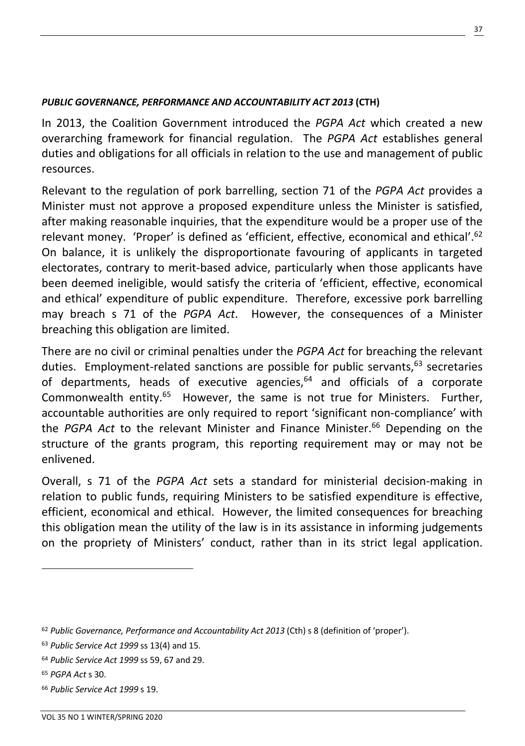#### *PUBLIC GOVERNANCE, PERFORMANCE AND ACCOUNTABILITY ACT 2013* **(CTH)**

In 2013, the Coalition Government introduced the *PGPA Act* which created a new overarching framework for financial regulation. The *PGPA Act* establishes general duties and obligations for all officials in relation to the use and management of public resources.

Relevant to the regulation of pork barrelling, section 71 of the *PGPA Act* provides a Minister must not approve a proposed expenditure unless the Minister is satisfied, after making reasonable inquiries, that the expenditure would be a proper use of the relevant money. 'Proper' is defined as 'efficient, effective, economical and ethical'.<sup>62</sup> On balance, it is unlikely the disproportionate favouring of applicants in targeted electorates, contrary to merit-based advice, particularly when those applicants have been deemed ineligible, would satisfy the criteria of 'efficient, effective, economical and ethical' expenditure of public expenditure. Therefore, excessive pork barrelling may breach s 71 of the *PGPA Act*. However, the consequences of a Minister breaching this obligation are limited.

There are no civil or criminal penalties under the *PGPA Act* for breaching the relevant duties. Employment-related sanctions are possible for public servants,<sup>63</sup> secretaries of departments, heads of executive agencies, $64$  and officials of a corporate Commonwealth entity.<sup>65</sup> However, the same is not true for Ministers. Further, accountable authorities are only required to report 'significant non-compliance' with the *PGPA Act* to the relevant Minister and Finance Minister.<sup>66</sup> Depending on the structure of the grants program, this reporting requirement may or may not be enlivened.

Overall, s 71 of the *PGPA Act* sets a standard for ministerial decision-making in relation to public funds, requiring Ministers to be satisfied expenditure is effective, efficient, economical and ethical. However, the limited consequences for breaching this obligation mean the utility of the law is in its assistance in informing judgements on the propriety of Ministers' conduct, rather than in its strict legal application.

<sup>62</sup> *Public Governance, Performance and Accountability Act 2013* (Cth) s 8 (definition of 'proper').

<sup>63</sup> *Public Service Act 1999* ss 13(4) and 15.

<sup>64</sup> *Public Service Act 1999* ss 59, 67 and 29.

<sup>65</sup> *PGPA Act* s 30.

<sup>66</sup> *Public Service Act 1999* s 19.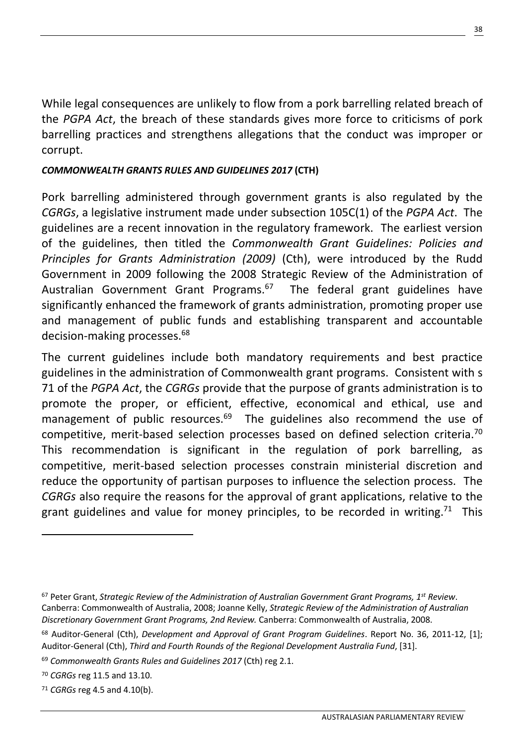While legal consequences are unlikely to flow from a pork barrelling related breach of the *PGPA Act*, the breach of these standards gives more force to criticisms of pork barrelling practices and strengthens allegations that the conduct was improper or corrupt.

#### *COMMONWEALTH GRANTS RULES AND GUIDELINES 2017* **(CTH)**

Pork barrelling administered through government grants is also regulated by the *CGRGs*, a legislative instrument made under subsection 105C(1) of the *PGPA Act*. The guidelines are a recent innovation in the regulatory framework. The earliest version of the guidelines, then titled the *Commonwealth Grant Guidelines: Policies and Principles for Grants Administration (2009)* (Cth), were introduced by the Rudd Government in 2009 following the 2008 Strategic Review of the Administration of Australian Government Grant Programs.<sup>67</sup> The federal grant guidelines have significantly enhanced the framework of grants administration, promoting proper use and management of public funds and establishing transparent and accountable decision-making processes.68

The current guidelines include both mandatory requirements and best practice guidelines in the administration of Commonwealth grant programs. Consistent with s 71 of the *PGPA Act*, the *CGRGs* provide that the purpose of grants administration is to promote the proper, or efficient, effective, economical and ethical, use and management of public resources.<sup>69</sup> The guidelines also recommend the use of competitive, merit-based selection processes based on defined selection criteria.<sup>70</sup> This recommendation is significant in the regulation of pork barrelling, as competitive, merit-based selection processes constrain ministerial discretion and reduce the opportunity of partisan purposes to influence the selection process. The *CGRGs* also require the reasons for the approval of grant applications, relative to the grant guidelines and value for money principles, to be recorded in writing.<sup>71</sup> This

<sup>67</sup> Peter Grant, *Strategic Review of the Administration of Australian Government Grant Programs, 1st Review*. Canberra: Commonwealth of Australia, 2008; Joanne Kelly, *Strategic Review of the Administration of Australian Discretionary Government Grant Programs, 2nd Review.* Canberra: Commonwealth of Australia, 2008.

<sup>68</sup> Auditor-General (Cth), *Development and Approval of Grant Program Guidelines*. Report No. 36, 2011-12, [1]; Auditor-General (Cth), *Third and Fourth Rounds of the Regional Development Australia Fund*, [31].

<sup>69</sup> *Commonwealth Grants Rules and Guidelines 2017* (Cth) reg 2.1.

<sup>70</sup> *CGRGs* reg 11.5 and 13.10.

<sup>71</sup> *CGRGs* reg 4.5 and 4.10(b).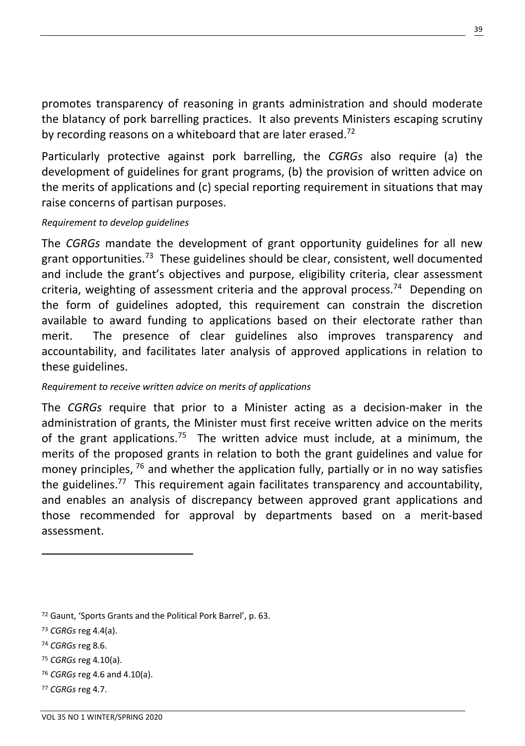promotes transparency of reasoning in grants administration and should moderate the blatancy of pork barrelling practices. It also prevents Ministers escaping scrutiny by recording reasons on a whiteboard that are later erased.<sup>72</sup>

Particularly protective against pork barrelling, the *CGRGs* also require (a) the development of guidelines for grant programs, (b) the provision of written advice on the merits of applications and (c) special reporting requirement in situations that may raise concerns of partisan purposes.

#### *Requirement to develop guidelines*

The *CGRGs* mandate the development of grant opportunity guidelines for all new grant opportunities.<sup>73</sup> These guidelines should be clear, consistent, well documented and include the grant's objectives and purpose, eligibility criteria, clear assessment criteria, weighting of assessment criteria and the approval process.<sup>74</sup> Depending on the form of guidelines adopted, this requirement can constrain the discretion available to award funding to applications based on their electorate rather than merit. The presence of clear guidelines also improves transparency and accountability, and facilitates later analysis of approved applications in relation to these guidelines.

#### *Requirement to receive written advice on merits of applications*

The *CGRGs* require that prior to a Minister acting as a decision-maker in the administration of grants, the Minister must first receive written advice on the merits of the grant applications.<sup>75</sup> The written advice must include, at a minimum, the merits of the proposed grants in relation to both the grant guidelines and value for money principles,  $76$  and whether the application fully, partially or in no way satisfies the guidelines.<sup>77</sup> This requirement again facilitates transparency and accountability, and enables an analysis of discrepancy between approved grant applications and those recommended for approval by departments based on a merit-based assessment.

<sup>72</sup> Gaunt, 'Sports Grants and the Political Pork Barrel', p. 63.

<sup>73</sup> *CGRGs* reg 4.4(a).

<sup>74</sup> *CGRGs* reg 8.6.

<sup>75</sup> *CGRGs* reg 4.10(a).

<sup>76</sup> *CGRGs* reg 4.6 and 4.10(a).

<sup>77</sup> *CGRGs* reg 4.7.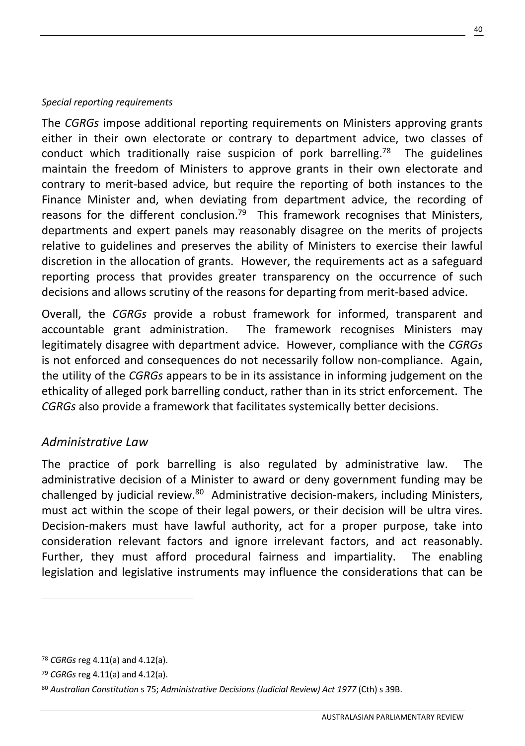#### *Special reporting requirements*

The *CGRGs* impose additional reporting requirements on Ministers approving grants either in their own electorate or contrary to department advice, two classes of conduct which traditionally raise suspicion of pork barrelling.<sup>78</sup> The guidelines maintain the freedom of Ministers to approve grants in their own electorate and contrary to merit-based advice, but require the reporting of both instances to the Finance Minister and, when deviating from department advice, the recording of reasons for the different conclusion.<sup>79</sup> This framework recognises that Ministers, departments and expert panels may reasonably disagree on the merits of projects relative to guidelines and preserves the ability of Ministers to exercise their lawful discretion in the allocation of grants. However, the requirements act as a safeguard reporting process that provides greater transparency on the occurrence of such decisions and allows scrutiny of the reasons for departing from merit-based advice.

Overall, the *CGRGs* provide a robust framework for informed, transparent and accountable grant administration. The framework recognises Ministers may legitimately disagree with department advice. However, compliance with the *CGRGs* is not enforced and consequences do not necessarily follow non-compliance. Again, the utility of the *CGRGs* appears to be in its assistance in informing judgement on the ethicality of alleged pork barrelling conduct, rather than in its strict enforcement. The *CGRGs* also provide a framework that facilitates systemically better decisions.

### *Administrative Law*

The practice of pork barrelling is also regulated by administrative law. The administrative decision of a Minister to award or deny government funding may be challenged by judicial review.80 Administrative decision-makers, including Ministers, must act within the scope of their legal powers, or their decision will be ultra vires. Decision-makers must have lawful authority, act for a proper purpose, take into consideration relevant factors and ignore irrelevant factors, and act reasonably. Further, they must afford procedural fairness and impartiality. The enabling legislation and legislative instruments may influence the considerations that can be

40

<sup>78</sup> *CGRGs* reg 4.11(a) and 4.12(a).

<sup>79</sup> *CGRGs* reg 4.11(a) and 4.12(a).

<sup>80</sup> *Australian Constitution* s 75; *Administrative Decisions (Judicial Review) Act 1977* (Cth) s 39B.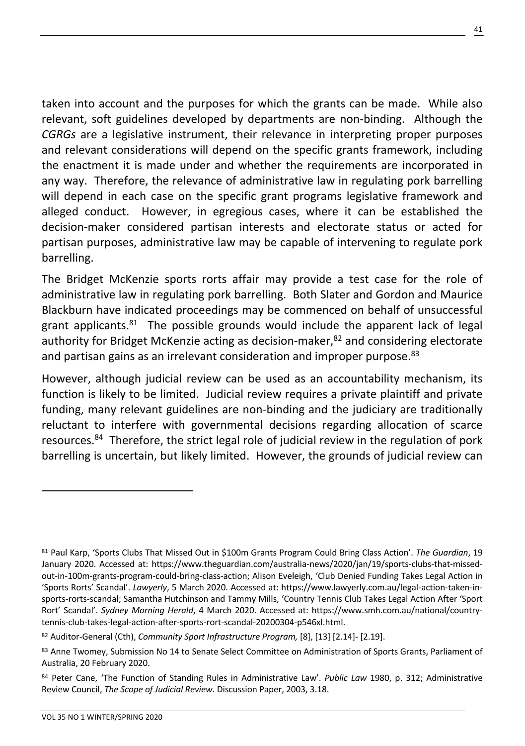taken into account and the purposes for which the grants can be made. While also relevant, soft guidelines developed by departments are non-binding. Although the *CGRGs* are a legislative instrument, their relevance in interpreting proper purposes and relevant considerations will depend on the specific grants framework, including the enactment it is made under and whether the requirements are incorporated in any way. Therefore, the relevance of administrative law in regulating pork barrelling will depend in each case on the specific grant programs legislative framework and alleged conduct. However, in egregious cases, where it can be established the decision-maker considered partisan interests and electorate status or acted for partisan purposes, administrative law may be capable of intervening to regulate pork barrelling.

The Bridget McKenzie sports rorts affair may provide a test case for the role of administrative law in regulating pork barrelling. Both Slater and Gordon and Maurice Blackburn have indicated proceedings may be commenced on behalf of unsuccessful grant applicants.<sup>81</sup> The possible grounds would include the apparent lack of legal authority for Bridget McKenzie acting as decision-maker, $82$  and considering electorate and partisan gains as an irrelevant consideration and improper purpose.<sup>83</sup>

However, although judicial review can be used as an accountability mechanism, its function is likely to be limited. Judicial review requires a private plaintiff and private funding, many relevant guidelines are non-binding and the judiciary are traditionally reluctant to interfere with governmental decisions regarding allocation of scarce resources.<sup>84</sup> Therefore, the strict legal role of judicial review in the regulation of pork barrelling is uncertain, but likely limited. However, the grounds of judicial review can

<sup>81</sup> Paul Karp, 'Sports Clubs That Missed Out in \$100m Grants Program Could Bring Class Action'. *The Guardian*, 19 January 2020. Accessed at: https://www.theguardian.com/australia-news/2020/jan/19/sports-clubs-that-missedout-in-100m-grants-program-could-bring-class-action; Alison Eveleigh, 'Club Denied Funding Takes Legal Action in 'Sports Rorts' Scandal'. *Lawyerly*, 5 March 2020. Accessed at: https://www.lawyerly.com.au/legal-action-taken-insports-rorts-scandal; Samantha Hutchinson and Tammy Mills, 'Country Tennis Club Takes Legal Action After 'Sport Rort' Scandal'. *Sydney Morning Herald*, 4 March 2020. Accessed at: https://www.smh.com.au/national/countrytennis-club-takes-legal-action-after-sports-rort-scandal-20200304-p546xl.html.

<sup>82</sup> Auditor-General (Cth), *Community Sport Infrastructure Program,* [8], [13] [2.14]- [2.19].

<sup>83</sup> Anne Twomey, Submission No 14 to Senate Select Committee on Administration of Sports Grants, Parliament of Australia, 20 February 2020.

<sup>84</sup> Peter Cane, 'The Function of Standing Rules in Administrative Law'. *Public Law* 1980, p. 312; Administrative Review Council, *The Scope of Judicial Review*. Discussion Paper, 2003, 3.18.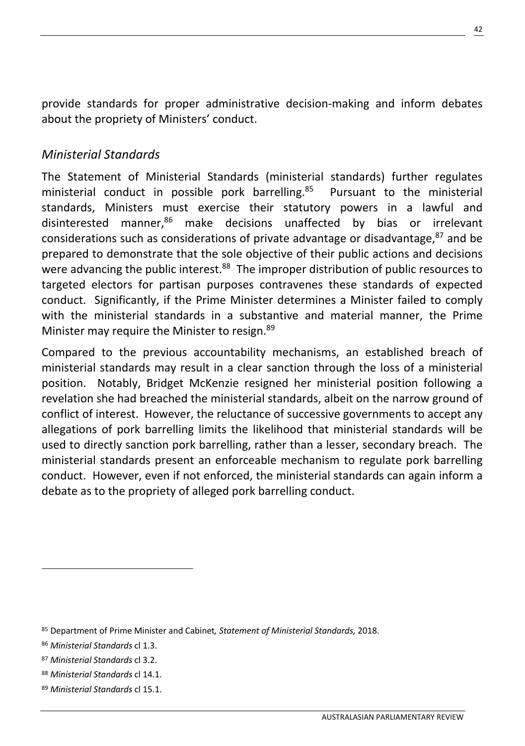provide standards for proper administrative decision-making and inform debates about the propriety of Ministers' conduct.

# *Ministerial Standards*

The Statement of Ministerial Standards (ministerial standards) further regulates ministerial conduct in possible pork barrelling. <sup>85</sup> Pursuant to the ministerial standards, Ministers must exercise their statutory powers in a lawful and disinterested manner,<sup>86</sup> make decisions unaffected by bias or irrelevant considerations such as considerations of private advantage or disadvantage, $^{87}$  and be prepared to demonstrate that the sole objective of their public actions and decisions were advancing the public interest.<sup>88</sup> The improper distribution of public resources to targeted electors for partisan purposes contravenes these standards of expected conduct. Significantly, if the Prime Minister determines a Minister failed to comply with the ministerial standards in a substantive and material manner, the Prime Minister may require the Minister to resign.<sup>89</sup>

Compared to the previous accountability mechanisms, an established breach of ministerial standards may result in a clear sanction through the loss of a ministerial position. Notably, Bridget McKenzie resigned her ministerial position following a revelation she had breached the ministerial standards, albeit on the narrow ground of conflict of interest. However, the reluctance of successive governments to accept any allegations of pork barrelling limits the likelihood that ministerial standards will be used to directly sanction pork barrelling, rather than a lesser, secondary breach. The ministerial standards present an enforceable mechanism to regulate pork barrelling conduct. However, even if not enforced, the ministerial standards can again inform a debate as to the propriety of alleged pork barrelling conduct.

<sup>85</sup> Department of Prime Minister and Cabinet*, Statement of Ministerial Standards,* 2018.

<sup>86</sup> *Ministerial Standards* cl 1.3.

<sup>87</sup> *Ministerial Standards* cl 3.2.

<sup>88</sup> *Ministerial Standards* cl 14.1.

<sup>89</sup> *Ministerial Standards* cl 15.1.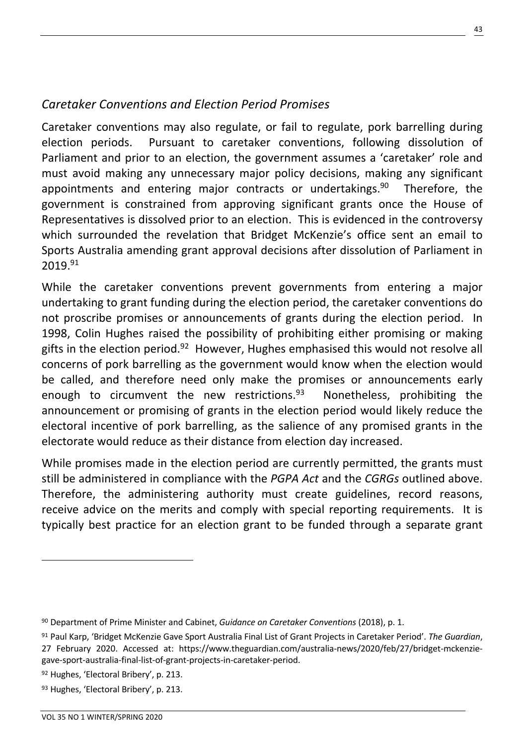# *Caretaker Conventions and Election Period Promises*

Caretaker conventions may also regulate, or fail to regulate, pork barrelling during election periods. Pursuant to caretaker conventions, following dissolution of Parliament and prior to an election, the government assumes a 'caretaker' role and must avoid making any unnecessary major policy decisions, making any significant appointments and entering major contracts or undertakings.<sup>90</sup> Therefore, the government is constrained from approving significant grants once the House of Representatives is dissolved prior to an election. This is evidenced in the controversy which surrounded the revelation that Bridget McKenzie's office sent an email to Sports Australia amending grant approval decisions after dissolution of Parliament in 2019.91

While the caretaker conventions prevent governments from entering a major undertaking to grant funding during the election period, the caretaker conventions do not proscribe promises or announcements of grants during the election period. In 1998, Colin Hughes raised the possibility of prohibiting either promising or making gifts in the election period.<sup>92</sup> However, Hughes emphasised this would not resolve all concerns of pork barrelling as the government would know when the election would be called, and therefore need only make the promises or announcements early enough to circumvent the new restrictions.<sup>93</sup> Nonetheless, prohibiting the announcement or promising of grants in the election period would likely reduce the electoral incentive of pork barrelling, as the salience of any promised grants in the electorate would reduce as their distance from election day increased.

While promises made in the election period are currently permitted, the grants must still be administered in compliance with the *PGPA Act* and the *CGRGs* outlined above. Therefore, the administering authority must create guidelines, record reasons, receive advice on the merits and comply with special reporting requirements. It is typically best practice for an election grant to be funded through a separate grant

<sup>90</sup> Department of Prime Minister and Cabinet, *Guidance on Caretaker Conventions* (2018), p. 1.

<sup>91</sup> Paul Karp, 'Bridget McKenzie Gave Sport Australia Final List of Grant Projects in Caretaker Period'. *The Guardian*, 27 February 2020. Accessed at: https://www.theguardian.com/australia-news/2020/feb/27/bridget-mckenziegave-sport-australia-final-list-of-grant-projects-in-caretaker-period.

<sup>92</sup> Hughes, 'Electoral Bribery', p. 213.

<sup>93</sup> Hughes, 'Electoral Bribery', p. 213.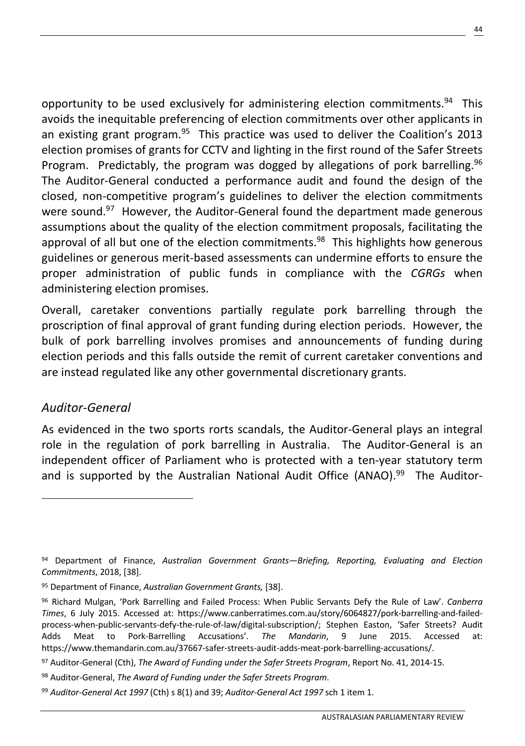opportunity to be used exclusively for administering election commitments.<sup>94</sup> This avoids the inequitable preferencing of election commitments over other applicants in an existing grant program.<sup>95</sup> This practice was used to deliver the Coalition's 2013 election promises of grants for CCTV and lighting in the first round of the Safer Streets Program. Predictably, the program was dogged by allegations of pork barrelling.<sup>96</sup> The Auditor-General conducted a performance audit and found the design of the closed, non-competitive program's guidelines to deliver the election commitments were sound.<sup>97</sup> However, the Auditor-General found the department made generous assumptions about the quality of the election commitment proposals, facilitating the approval of all but one of the election commitments. $98$  This highlights how generous guidelines or generous merit-based assessments can undermine efforts to ensure the proper administration of public funds in compliance with the *CGRGs* when administering election promises.

Overall, caretaker conventions partially regulate pork barrelling through the proscription of final approval of grant funding during election periods. However, the bulk of pork barrelling involves promises and announcements of funding during election periods and this falls outside the remit of current caretaker conventions and are instead regulated like any other governmental discretionary grants.

### *Auditor-General*

As evidenced in the two sports rorts scandals, the Auditor-General plays an integral role in the regulation of pork barrelling in Australia. The Auditor-General is an independent officer of Parliament who is protected with a ten-year statutory term and is supported by the Australian National Audit Office (ANAO).<sup>99</sup> The Auditor-

<sup>94</sup> Department of Finance, *Australian Government Grants—Briefing, Reporting, Evaluating and Election Commitments*, 2018, [38].

<sup>95</sup> Department of Finance, *Australian Government Grants,* [38].

<sup>96</sup> Richard Mulgan, 'Pork Barrelling and Failed Process: When Public Servants Defy the Rule of Law'. *Canberra Times*, 6 July 2015. Accessed at: https://www.canberratimes.com.au/story/6064827/pork-barrelling-and-failedprocess-when-public-servants-defy-the-rule-of-law/digital-subscription/; Stephen Easton, 'Safer Streets? Audit Adds Meat to Pork-Barrelling Accusations'. *The Mandarin*, 9 June 2015. Accessed at: https://www.themandarin.com.au/37667-safer-streets-audit-adds-meat-pork-barrelling-accusations/.

<sup>97</sup> Auditor-General (Cth), *The Award of Funding under the Safer Streets Program*, Report No. 41, 2014-15.

<sup>98</sup> Auditor-General, *The Award of Funding under the Safer Streets Program*.

<sup>99</sup> *Auditor-General Act 1997* (Cth) s 8(1) and 39; *Auditor-General Act 1997* sch 1 item 1.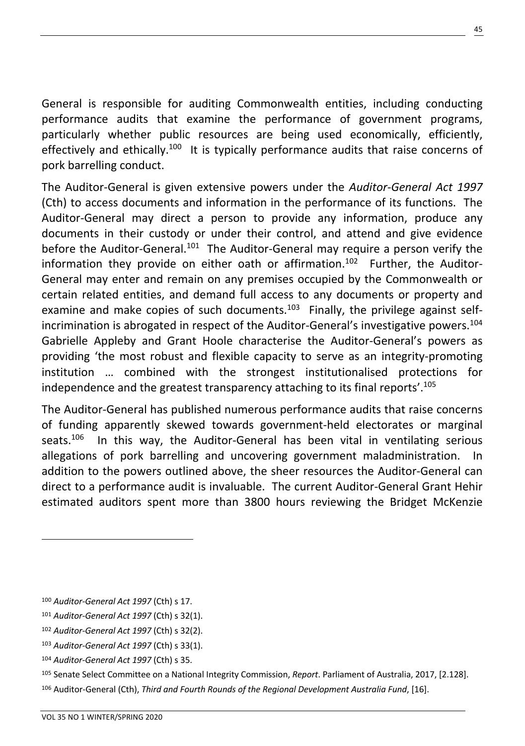General is responsible for auditing Commonwealth entities, including conducting performance audits that examine the performance of government programs, particularly whether public resources are being used economically, efficiently, effectively and ethically.<sup>100</sup> It is typically performance audits that raise concerns of pork barrelling conduct.

The Auditor-General is given extensive powers under the *Auditor-General Act 1997* (Cth) to access documents and information in the performance of its functions. The Auditor-General may direct a person to provide any information, produce any documents in their custody or under their control, and attend and give evidence before the Auditor-General.<sup>101</sup> The Auditor-General may require a person verify the information they provide on either oath or affirmation.<sup>102</sup> Further, the Auditor-General may enter and remain on any premises occupied by the Commonwealth or certain related entities, and demand full access to any documents or property and examine and make copies of such documents. $103$  Finally, the privilege against selfincrimination is abrogated in respect of the Auditor-General's investigative powers.104 Gabrielle Appleby and Grant Hoole characterise the Auditor-General's powers as providing 'the most robust and flexible capacity to serve as an integrity-promoting institution … combined with the strongest institutionalised protections for independence and the greatest transparency attaching to its final reports'.<sup>105</sup>

The Auditor-General has published numerous performance audits that raise concerns of funding apparently skewed towards government-held electorates or marginal seats.106 In this way, the Auditor-General has been vital in ventilating serious allegations of pork barrelling and uncovering government maladministration. In addition to the powers outlined above, the sheer resources the Auditor-General can direct to a performance audit is invaluable. The current Auditor-General Grant Hehir estimated auditors spent more than 3800 hours reviewing the Bridget McKenzie

- <sup>101</sup> *Auditor-General Act 1997* (Cth) s 32(1).
- <sup>102</sup> *Auditor-General Act 1997* (Cth) s 32(2).
- <sup>103</sup> *Auditor-General Act 1997* (Cth) s 33(1).
- <sup>104</sup> *Auditor-General Act 1997* (Cth) s 35.

<sup>106</sup> Auditor-General (Cth), *Third and Fourth Rounds of the Regional Development Australia Fund*, [16].

<sup>100</sup> *Auditor-General Act 1997* (Cth) s 17.

<sup>105</sup> Senate Select Committee on a National Integrity Commission, *Report*. Parliament of Australia, 2017, [2.128].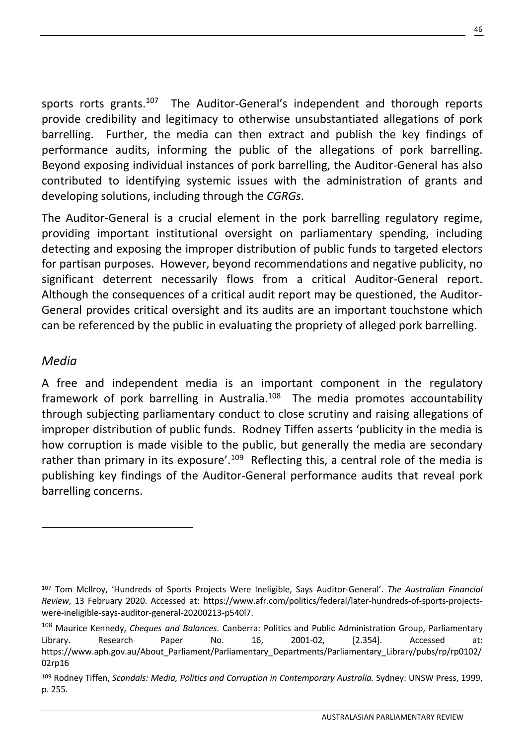sports rorts grants.<sup>107</sup> The Auditor-General's independent and thorough reports provide credibility and legitimacy to otherwise unsubstantiated allegations of pork barrelling. Further, the media can then extract and publish the key findings of performance audits, informing the public of the allegations of pork barrelling. Beyond exposing individual instances of pork barrelling, the Auditor-General has also contributed to identifying systemic issues with the administration of grants and developing solutions, including through the *CGRGs*.

The Auditor-General is a crucial element in the pork barrelling regulatory regime, providing important institutional oversight on parliamentary spending, including detecting and exposing the improper distribution of public funds to targeted electors for partisan purposes. However, beyond recommendations and negative publicity, no significant deterrent necessarily flows from a critical Auditor-General report. Although the consequences of a critical audit report may be questioned, the Auditor-General provides critical oversight and its audits are an important touchstone which can be referenced by the public in evaluating the propriety of alleged pork barrelling.

### *Media*

A free and independent media is an important component in the regulatory framework of pork barrelling in Australia.<sup>108</sup> The media promotes accountability through subjecting parliamentary conduct to close scrutiny and raising allegations of improper distribution of public funds. Rodney Tiffen asserts 'publicity in the media is how corruption is made visible to the public, but generally the media are secondary rather than primary in its exposure'.<sup>109</sup> Reflecting this, a central role of the media is publishing key findings of the Auditor-General performance audits that reveal pork barrelling concerns.

<sup>107</sup> Tom McIlroy, 'Hundreds of Sports Projects Were Ineligible, Says Auditor-General'. *The Australian Financial Review*, 13 February 2020. Accessed at: https://www.afr.com/politics/federal/later-hundreds-of-sports-projectswere-ineligible-says-auditor-general-20200213-p540l7.

<sup>108</sup> Maurice Kennedy, *Cheques and Balances*. Canberra: Politics and Public Administration Group, Parliamentary Library. Research Paper No. 16, 2001-02, [2.354]. Accessed at: https://www.aph.gov.au/About Parliament/Parliamentary Departments/Parliamentary Library/pubs/rp/rp0102/ 02rp16

<sup>109</sup> Rodney Tiffen, *Scandals: Media, Politics and Corruption in Contemporary Australia.* Sydney: UNSW Press, 1999, p. 255.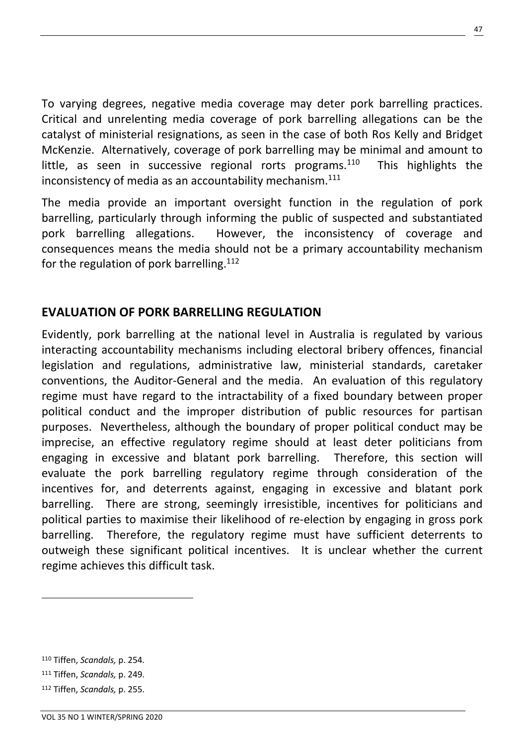To varying degrees, negative media coverage may deter pork barrelling practices. Critical and unrelenting media coverage of pork barrelling allegations can be the catalyst of ministerial resignations, as seen in the case of both Ros Kelly and Bridget McKenzie. Alternatively, coverage of pork barrelling may be minimal and amount to little, as seen in successive regional rorts programs.<sup>110</sup> This highlights the inconsistency of media as an accountability mechanism. $111$ 

The media provide an important oversight function in the regulation of pork barrelling, particularly through informing the public of suspected and substantiated pork barrelling allegations. However, the inconsistency of coverage and consequences means the media should not be a primary accountability mechanism for the regulation of pork barrelling.<sup>112</sup>

### **EVALUATION OF PORK BARRELLING REGULATION**

Evidently, pork barrelling at the national level in Australia is regulated by various interacting accountability mechanisms including electoral bribery offences, financial legislation and regulations, administrative law, ministerial standards, caretaker conventions, the Auditor-General and the media. An evaluation of this regulatory regime must have regard to the intractability of a fixed boundary between proper political conduct and the improper distribution of public resources for partisan purposes. Nevertheless, although the boundary of proper political conduct may be imprecise, an effective regulatory regime should at least deter politicians from engaging in excessive and blatant pork barrelling. Therefore, this section will evaluate the pork barrelling regulatory regime through consideration of the incentives for, and deterrents against, engaging in excessive and blatant pork barrelling. There are strong, seemingly irresistible, incentives for politicians and political parties to maximise their likelihood of re-election by engaging in gross pork barrelling. Therefore, the regulatory regime must have sufficient deterrents to outweigh these significant political incentives. It is unclear whether the current regime achieves this difficult task.

<sup>110</sup> Tiffen, *Scandals,* p. 254.

<sup>111</sup> Tiffen, *Scandals,* p. 249.

<sup>112</sup> Tiffen, *Scandals,* p. 255.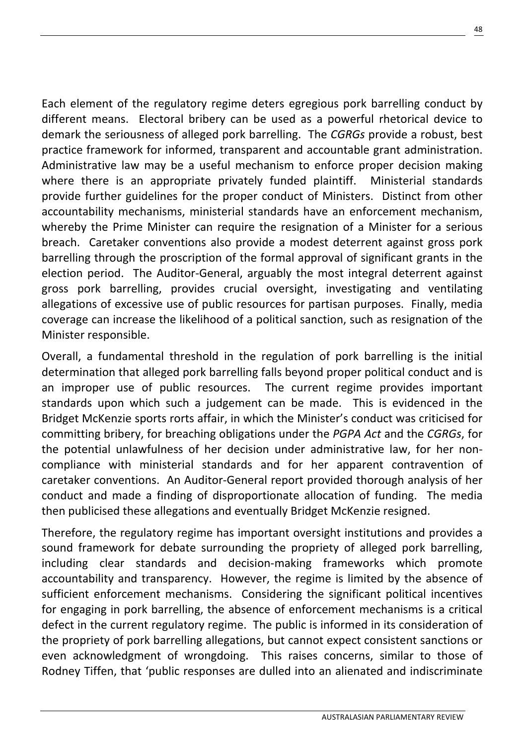Each element of the regulatory regime deters egregious pork barrelling conduct by different means. Electoral bribery can be used as a powerful rhetorical device to demark the seriousness of alleged pork barrelling. The *CGRGs* provide a robust, best practice framework for informed, transparent and accountable grant administration. Administrative law may be a useful mechanism to enforce proper decision making where there is an appropriate privately funded plaintiff. Ministerial standards provide further guidelines for the proper conduct of Ministers. Distinct from other accountability mechanisms, ministerial standards have an enforcement mechanism, whereby the Prime Minister can require the resignation of a Minister for a serious breach. Caretaker conventions also provide a modest deterrent against gross pork barrelling through the proscription of the formal approval of significant grants in the election period. The Auditor-General, arguably the most integral deterrent against gross pork barrelling, provides crucial oversight, investigating and ventilating allegations of excessive use of public resources for partisan purposes. Finally, media coverage can increase the likelihood of a political sanction, such as resignation of the Minister responsible.

Overall, a fundamental threshold in the regulation of pork barrelling is the initial determination that alleged pork barrelling falls beyond proper political conduct and is an improper use of public resources. The current regime provides important standards upon which such a judgement can be made. This is evidenced in the Bridget McKenzie sports rorts affair, in which the Minister's conduct was criticised for committing bribery, for breaching obligations under the *PGPA Act* and the *CGRGs*, for the potential unlawfulness of her decision under administrative law, for her noncompliance with ministerial standards and for her apparent contravention of caretaker conventions. An Auditor-General report provided thorough analysis of her conduct and made a finding of disproportionate allocation of funding. The media then publicised these allegations and eventually Bridget McKenzie resigned.

Therefore, the regulatory regime has important oversight institutions and provides a sound framework for debate surrounding the propriety of alleged pork barrelling, including clear standards and decision-making frameworks which promote accountability and transparency. However, the regime is limited by the absence of sufficient enforcement mechanisms. Considering the significant political incentives for engaging in pork barrelling, the absence of enforcement mechanisms is a critical defect in the current regulatory regime. The public is informed in its consideration of the propriety of pork barrelling allegations, but cannot expect consistent sanctions or even acknowledgment of wrongdoing. This raises concerns, similar to those of Rodney Tiffen, that 'public responses are dulled into an alienated and indiscriminate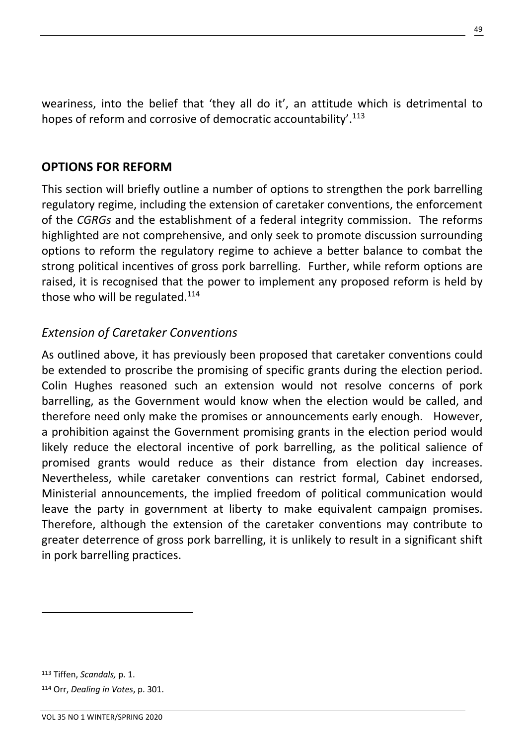weariness, into the belief that 'they all do it', an attitude which is detrimental to hopes of reform and corrosive of democratic accountability'.<sup>113</sup>

### **OPTIONS FOR REFORM**

This section will briefly outline a number of options to strengthen the pork barrelling regulatory regime, including the extension of caretaker conventions, the enforcement of the *CGRGs* and the establishment of a federal integrity commission. The reforms highlighted are not comprehensive, and only seek to promote discussion surrounding options to reform the regulatory regime to achieve a better balance to combat the strong political incentives of gross pork barrelling. Further, while reform options are raised, it is recognised that the power to implement any proposed reform is held by those who will be regulated. $114$ 

### *Extension of Caretaker Conventions*

As outlined above, it has previously been proposed that caretaker conventions could be extended to proscribe the promising of specific grants during the election period. Colin Hughes reasoned such an extension would not resolve concerns of pork barrelling, as the Government would know when the election would be called, and therefore need only make the promises or announcements early enough. However, a prohibition against the Government promising grants in the election period would likely reduce the electoral incentive of pork barrelling, as the political salience of promised grants would reduce as their distance from election day increases. Nevertheless, while caretaker conventions can restrict formal, Cabinet endorsed, Ministerial announcements, the implied freedom of political communication would leave the party in government at liberty to make equivalent campaign promises. Therefore, although the extension of the caretaker conventions may contribute to greater deterrence of gross pork barrelling, it is unlikely to result in a significant shift in pork barrelling practices.

<sup>113</sup> Tiffen, *Scandals,* p. 1. <sup>114</sup> Orr, *Dealing in Votes*, p. 301.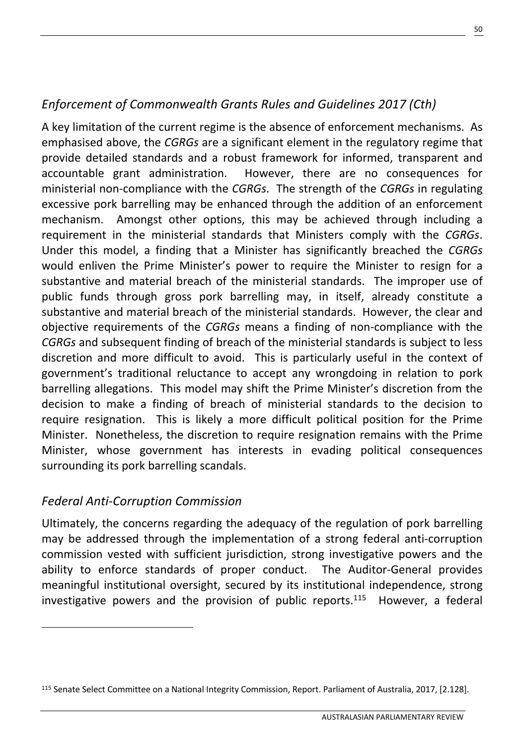# *Enforcement of Commonwealth Grants Rules and Guidelines 2017 (Cth)*

A key limitation of the current regime is the absence of enforcement mechanisms. As emphasised above, the *CGRGs* are a significant element in the regulatory regime that provide detailed standards and a robust framework for informed, transparent and accountable grant administration. However, there are no consequences for ministerial non-compliance with the *CGRGs*. The strength of the *CGRGs* in regulating excessive pork barrelling may be enhanced through the addition of an enforcement mechanism. Amongst other options, this may be achieved through including a requirement in the ministerial standards that Ministers comply with the *CGRGs*. Under this model, a finding that a Minister has significantly breached the *CGRGs*  would enliven the Prime Minister's power to require the Minister to resign for a substantive and material breach of the ministerial standards. The improper use of public funds through gross pork barrelling may, in itself, already constitute a substantive and material breach of the ministerial standards. However, the clear and objective requirements of the *CGRGs* means a finding of non-compliance with the *CGRGs* and subsequent finding of breach of the ministerial standards is subject to less discretion and more difficult to avoid. This is particularly useful in the context of government's traditional reluctance to accept any wrongdoing in relation to pork barrelling allegations. This model may shift the Prime Minister's discretion from the decision to make a finding of breach of ministerial standards to the decision to require resignation. This is likely a more difficult political position for the Prime Minister. Nonetheless, the discretion to require resignation remains with the Prime Minister, whose government has interests in evading political consequences surrounding its pork barrelling scandals.

# *Federal Anti-Corruption Commission*

Ultimately, the concerns regarding the adequacy of the regulation of pork barrelling may be addressed through the implementation of a strong federal anti-corruption commission vested with sufficient jurisdiction, strong investigative powers and the ability to enforce standards of proper conduct. The Auditor-General provides meaningful institutional oversight, secured by its institutional independence, strong investigative powers and the provision of public reports.115 However, a federal

<sup>115</sup> Senate Select Committee on a National Integrity Commission, Report. Parliament of Australia, 2017, [2.128].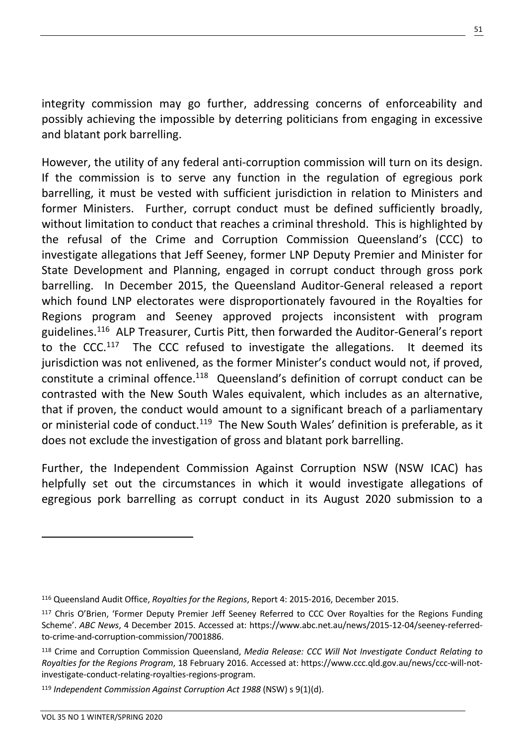integrity commission may go further, addressing concerns of enforceability and possibly achieving the impossible by deterring politicians from engaging in excessive and blatant pork barrelling.

However, the utility of any federal anti-corruption commission will turn on its design. If the commission is to serve any function in the regulation of egregious pork barrelling, it must be vested with sufficient jurisdiction in relation to Ministers and former Ministers. Further, corrupt conduct must be defined sufficiently broadly, without limitation to conduct that reaches a criminal threshold. This is highlighted by the refusal of the Crime and Corruption Commission Queensland's (CCC) to investigate allegations that Jeff Seeney, former LNP Deputy Premier and Minister for State Development and Planning, engaged in corrupt conduct through gross pork barrelling. In December 2015, the Queensland Auditor-General released a report which found LNP electorates were disproportionately favoured in the Royalties for Regions program and Seeney approved projects inconsistent with program guidelines.<sup>116</sup> ALP Treasurer, Curtis Pitt, then forwarded the Auditor-General's report to the CCC.<sup>117</sup> The CCC refused to investigate the allegations. It deemed its jurisdiction was not enlivened, as the former Minister's conduct would not, if proved, constitute a criminal offence. $118$  Queensland's definition of corrupt conduct can be contrasted with the New South Wales equivalent, which includes as an alternative, that if proven, the conduct would amount to a significant breach of a parliamentary or ministerial code of conduct.<sup>119</sup> The New South Wales' definition is preferable, as it does not exclude the investigation of gross and blatant pork barrelling.

Further, the Independent Commission Against Corruption NSW (NSW ICAC) has helpfully set out the circumstances in which it would investigate allegations of egregious pork barrelling as corrupt conduct in its August 2020 submission to a

<sup>116</sup> Queensland Audit Office, *Royalties for the Regions*, Report 4: 2015-2016, December 2015.

<sup>117</sup> Chris O'Brien, 'Former Deputy Premier Jeff Seeney Referred to CCC Over Royalties for the Regions Funding Scheme'. *ABC News*, 4 December 2015. Accessed at: https://www.abc.net.au/news/2015-12-04/seeney-referredto-crime-and-corruption-commission/7001886.

<sup>118</sup> Crime and Corruption Commission Queensland, *Media Release: CCC Will Not Investigate Conduct Relating to Royalties for the Regions Program*, 18 February 2016. Accessed at: https://www.ccc.qld.gov.au/news/ccc-will-notinvestigate-conduct-relating-royalties-regions-program.

<sup>119</sup> *Independent Commission Against Corruption Act 1988* (NSW) s 9(1)(d).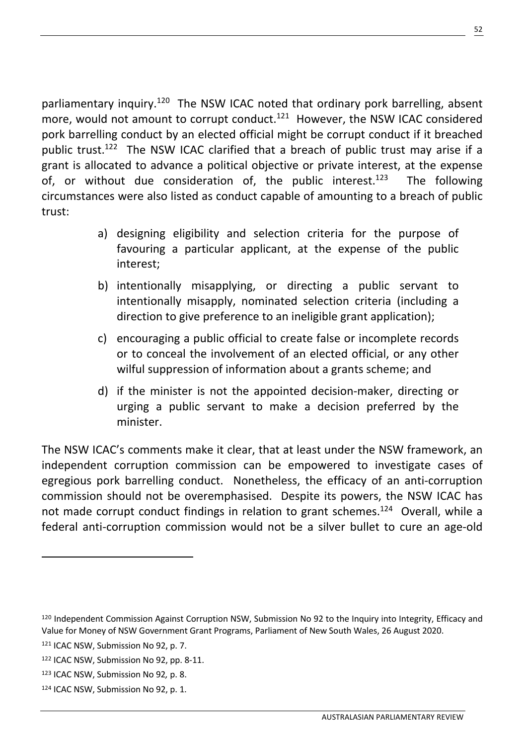parliamentary inquiry.<sup>120</sup> The NSW ICAC noted that ordinary pork barrelling, absent more, would not amount to corrupt conduct.<sup>121</sup> However, the NSW ICAC considered pork barrelling conduct by an elected official might be corrupt conduct if it breached public trust.<sup>122</sup> The NSW ICAC clarified that a breach of public trust may arise if a grant is allocated to advance a political objective or private interest, at the expense of, or without due consideration of, the public interest.<sup>123</sup> The following circumstances were also listed as conduct capable of amounting to a breach of public trust:

- a) designing eligibility and selection criteria for the purpose of favouring a particular applicant, at the expense of the public interest;
- b) intentionally misapplying, or directing a public servant to intentionally misapply, nominated selection criteria (including a direction to give preference to an ineligible grant application);
- c) encouraging a public official to create false or incomplete records or to conceal the involvement of an elected official, or any other wilful suppression of information about a grants scheme; and
- d) if the minister is not the appointed decision-maker, directing or urging a public servant to make a decision preferred by the minister.

The NSW ICAC's comments make it clear, that at least under the NSW framework, an independent corruption commission can be empowered to investigate cases of egregious pork barrelling conduct. Nonetheless, the efficacy of an anti-corruption commission should not be overemphasised. Despite its powers, the NSW ICAC has not made corrupt conduct findings in relation to grant schemes.<sup>124</sup> Overall, while a federal anti-corruption commission would not be a silver bullet to cure an age-old

52

<sup>120</sup> Independent Commission Against Corruption NSW, Submission No 92 to the Inquiry into Integrity, Efficacy and Value for Money of NSW Government Grant Programs, Parliament of New South Wales, 26 August 2020.

<sup>121</sup> ICAC NSW, Submission No 92, p. 7.

<sup>122</sup> ICAC NSW, Submission No 92, pp. 8-11.

<sup>123</sup> ICAC NSW, Submission No 92*,* p. 8.

<sup>124</sup> ICAC NSW, Submission No 92, p. 1.